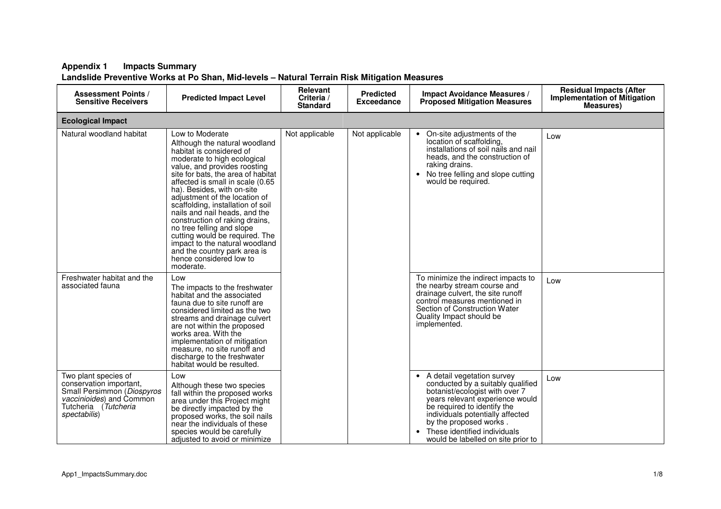| <b>Assessment Points /</b><br><b>Sensitive Receivers</b>                                                                                          | <b>Predicted Impact Level</b>                                                                                                                                                                                                                                                                                                                                                                                                                                                                                                                                         | Relevant<br>Criteria /<br><b>Standard</b> | <b>Predicted</b><br><b>Exceedance</b> | <b>Impact Avoidance Measures /</b><br><b>Proposed Mitigation Measures</b>                                                                                                                                                                                                                                                         | <b>Residual Impacts (After</b><br><b>Implementation of Mitigation</b><br><b>Measures</b> ) |  |  |  |  |  |
|---------------------------------------------------------------------------------------------------------------------------------------------------|-----------------------------------------------------------------------------------------------------------------------------------------------------------------------------------------------------------------------------------------------------------------------------------------------------------------------------------------------------------------------------------------------------------------------------------------------------------------------------------------------------------------------------------------------------------------------|-------------------------------------------|---------------------------------------|-----------------------------------------------------------------------------------------------------------------------------------------------------------------------------------------------------------------------------------------------------------------------------------------------------------------------------------|--------------------------------------------------------------------------------------------|--|--|--|--|--|
| <b>Ecological Impact</b>                                                                                                                          |                                                                                                                                                                                                                                                                                                                                                                                                                                                                                                                                                                       |                                           |                                       |                                                                                                                                                                                                                                                                                                                                   |                                                                                            |  |  |  |  |  |
| Natural woodland habitat                                                                                                                          | Low to Moderate<br>Although the natural woodland<br>habitat is considered of<br>moderate to high ecological<br>value, and provides roosting<br>site for bats, the area of habitat<br>affected is small in scale (0.65<br>ha). Besides, with on-site<br>adjustment of the location of<br>scaffolding, installation of soil<br>nails and nail heads, and the<br>construction of raking drains,<br>no tree felling and slope<br>cutting would be required. The<br>impact to the natural woodland<br>and the country park area is<br>hence considered low to<br>moderate. | Not applicable                            | Not applicable                        | On-site adjustments of the<br>$\bullet$<br>location of scaffolding,<br>installations of soil nails and nail<br>heads, and the construction of<br>raking drains.<br>• No tree felling and slope cutting<br>would be required.                                                                                                      | Low                                                                                        |  |  |  |  |  |
| Freshwater habitat and the<br>associated fauna                                                                                                    | Low<br>The impacts to the freshwater<br>habitat and the associated<br>fauna due to site runoff are<br>considered limited as the two<br>streams and drainage culvert<br>are not within the proposed<br>works area. With the<br>implementation of mitigation<br>measure, no site runoff and<br>discharge to the freshwater<br>habitat would be resulted.                                                                                                                                                                                                                |                                           |                                       | To minimize the indirect impacts to<br>the nearby stream course and<br>drainage culvert, the site runoff<br>control measures mentioned in<br>Section of Construction Water<br>Quality Impact should be<br>implemented.                                                                                                            | Low                                                                                        |  |  |  |  |  |
| Two plant species of<br>conservation important,<br>Small Persimmon (Diospyros<br>vaccinioides) and Common<br>Tutcheria (Tutcheria<br>spectabilis) | Low<br>Although these two species<br>fall within the proposed works<br>area under this Project might<br>be directly impacted by the<br>proposed works, the soil nails<br>near the individuals of these<br>species would be carefully<br>adjusted to avoid or minimize                                                                                                                                                                                                                                                                                                 |                                           |                                       | A detail vegetation survey<br>$\bullet$<br>conducted by a suitably qualified<br>botanist/ecologist with over 7<br>years relevant experience would<br>be required to identify the<br>individuals potentially affected<br>by the proposed works.<br>These identified individuals<br>$\bullet$<br>would be labelled on site prior to | Low                                                                                        |  |  |  |  |  |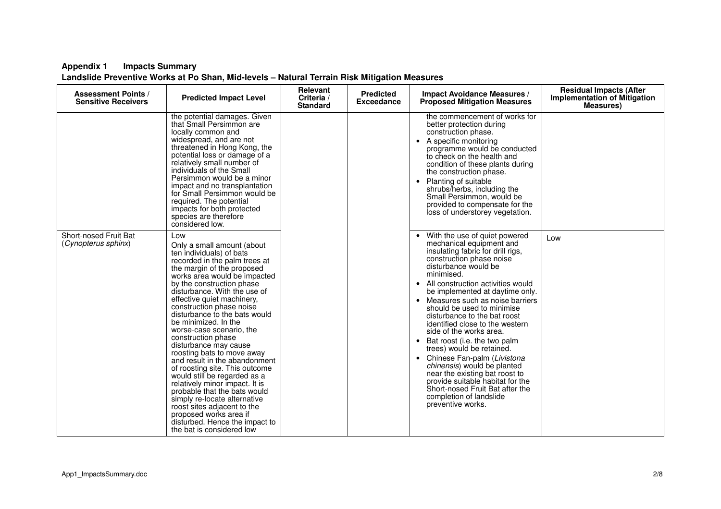| <b>Assessment Points /</b><br><b>Sensitive Receivers</b> | <b>Predicted Impact Level</b>                                                                                                                                                                                                                                                                                                                                                                                                                                                                                                                                                                                                                                                                                                                                                      | Relevant<br>Criteria /<br><b>Standard</b> | <b>Predicted</b><br>Exceedance | <b>Impact Avoidance Measures /</b><br><b>Proposed Mitigation Measures</b>                                                                                                                                                                                                                                                                                                                                                                                                                                                                                                                                                                                                                                                   | <b>Residual Impacts (After</b><br><b>Implementation of Mitigation</b><br><b>Measures</b> ) |
|----------------------------------------------------------|------------------------------------------------------------------------------------------------------------------------------------------------------------------------------------------------------------------------------------------------------------------------------------------------------------------------------------------------------------------------------------------------------------------------------------------------------------------------------------------------------------------------------------------------------------------------------------------------------------------------------------------------------------------------------------------------------------------------------------------------------------------------------------|-------------------------------------------|--------------------------------|-----------------------------------------------------------------------------------------------------------------------------------------------------------------------------------------------------------------------------------------------------------------------------------------------------------------------------------------------------------------------------------------------------------------------------------------------------------------------------------------------------------------------------------------------------------------------------------------------------------------------------------------------------------------------------------------------------------------------------|--------------------------------------------------------------------------------------------|
|                                                          | the potential damages. Given<br>that Small Persimmon are<br>locally common and<br>widespread, and are not<br>threatened in Hong Kong, the<br>potential loss or damage of a<br>relatively small number of<br>individuals of the Small<br>Persimmon would be a minor<br>impact and no transplantation<br>for Small Persimmon would be<br>required. The potential<br>impacts for both protected<br>species are therefore<br>considered low.                                                                                                                                                                                                                                                                                                                                           |                                           |                                | the commencement of works for<br>better protection during<br>construction phase.<br>A specific monitoring<br>$\bullet$<br>programme would be conducted<br>to check on the health and<br>condition of these plants during<br>the construction phase.<br>Planting of suitable<br>$\bullet$<br>shrubs/herbs, including the<br>Small Persimmon, would be<br>provided to compensate for the<br>loss of understorey vegetation.                                                                                                                                                                                                                                                                                                   |                                                                                            |
| Short-nosed Fruit Bat<br>(Cynopterus sphinx)             | Low<br>Only a small amount (about<br>ten individuals) of bats<br>recorded in the palm trees at<br>the margin of the proposed<br>works area would be impacted<br>by the construction phase<br>disturbance. With the use of<br>effective quiet machinery,<br>construction phase noise<br>disturbance to the bats would<br>be minimized. In the<br>worse-case scenario, the<br>construction phase<br>disturbance may cause<br>roosting bats to move away<br>and result in the abandonment<br>of roosting site. This outcome<br>would still be regarded as a<br>relatively minor impact. It is<br>probable that the bats would<br>simply re-locate alternative<br>roost sites adjacent to the<br>proposed works area if<br>disturbed. Hence the impact to<br>the bat is considered low |                                           |                                | • With the use of quiet powered<br>mechanical equipment and<br>insulating fabric for drill rigs,<br>construction phase noise<br>disturbance would be<br>minimised.<br>• All construction activities would<br>be implemented at daytime only.<br>Measures such as noise barriers<br>$\bullet$<br>should be used to minimise<br>disturbance to the bat roost<br>identified close to the western<br>side of the works area.<br>Bat roost (i.e. the two palm<br>$\bullet$<br>trees) would be retained.<br>• Chinese Fan-palm (Livistona<br>chinensis) would be planted<br>near the existing bat roost to<br>provide suitable habitat for the<br>Short-nosed Fruit Bat after the<br>completion of landslide<br>preventive works. | Low                                                                                        |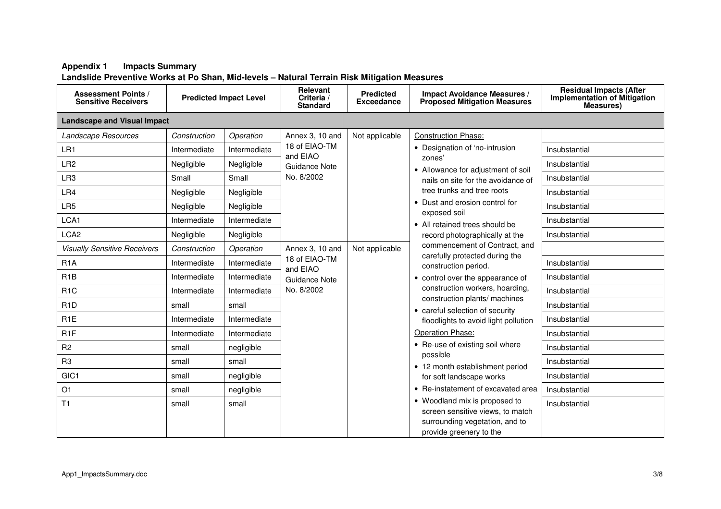| <b>Assessment Points /</b><br><b>Sensitive Receivers</b> |              | <b>Predicted Impact Level</b> | Relevant<br>Criteria /<br><b>Standard</b> | <b>Predicted</b><br><b>Exceedance</b> | <b>Impact Avoidance Measures /</b><br><b>Proposed Mitigation Measures</b>                                                                                                   | <b>Residual Impacts (After</b><br><b>Implementation of Mitigation</b><br><b>Measures)</b> |  |  |  |
|----------------------------------------------------------|--------------|-------------------------------|-------------------------------------------|---------------------------------------|-----------------------------------------------------------------------------------------------------------------------------------------------------------------------------|-------------------------------------------------------------------------------------------|--|--|--|
| <b>Landscape and Visual Impact</b>                       |              |                               |                                           |                                       |                                                                                                                                                                             |                                                                                           |  |  |  |
| Landscape Resources                                      | Construction | Operation                     | Annex 3, 10 and                           | Not applicable                        | <b>Construction Phase:</b>                                                                                                                                                  |                                                                                           |  |  |  |
| LR1                                                      | Intermediate | Intermediate                  | 18 of EIAO-TM<br>and EIAO                 |                                       | • Designation of 'no-intrusion                                                                                                                                              | Insubstantial                                                                             |  |  |  |
| LR <sub>2</sub>                                          | Negligible   | Negligible                    | Guidance Note                             |                                       | zones'<br>• Allowance for adjustment of soil                                                                                                                                | Insubstantial                                                                             |  |  |  |
| LR <sub>3</sub>                                          | Small        | Small                         | No. 8/2002                                |                                       | nails on site for the avoidance of                                                                                                                                          | Insubstantial                                                                             |  |  |  |
| LR4                                                      | Negligible   | Negligible                    |                                           |                                       | tree trunks and tree roots                                                                                                                                                  | Insubstantial                                                                             |  |  |  |
| LR <sub>5</sub>                                          | Negligible   | Negligible                    |                                           |                                       | • Dust and erosion control for                                                                                                                                              | Insubstantial                                                                             |  |  |  |
| LCA1                                                     | Intermediate | Intermediate                  |                                           |                                       | exposed soil<br>• All retained trees should be<br>record photographically at the<br>commencement of Contract, and<br>carefully protected during the<br>construction period. | Insubstantial                                                                             |  |  |  |
| LCA <sub>2</sub>                                         | Negligible   | Negligible                    |                                           |                                       |                                                                                                                                                                             | Insubstantial                                                                             |  |  |  |
| <b>Visually Sensitive Receivers</b>                      | Construction | Operation                     | Annex 3, 10 and                           | Not applicable                        |                                                                                                                                                                             |                                                                                           |  |  |  |
| R <sub>1</sub> A                                         | Intermediate | Intermediate                  | 18 of EIAO-TM<br>and EIAO                 |                                       |                                                                                                                                                                             | Insubstantial                                                                             |  |  |  |
| R <sub>1</sub> B                                         | Intermediate | Intermediate                  | Guidance Note                             |                                       | • control over the appearance of                                                                                                                                            | Insubstantial                                                                             |  |  |  |
| R <sub>1</sub> C                                         | Intermediate | Intermediate                  | No. 8/2002                                |                                       | construction workers, hoarding,                                                                                                                                             | Insubstantial                                                                             |  |  |  |
| R <sub>1</sub> D                                         | small        | small                         |                                           |                                       | construction plants/ machines<br>• careful selection of security                                                                                                            | Insubstantial                                                                             |  |  |  |
| R <sub>1</sub> E                                         | Intermediate | Intermediate                  |                                           |                                       | floodlights to avoid light pollution                                                                                                                                        | Insubstantial                                                                             |  |  |  |
| R <sub>1</sub> F                                         | Intermediate | Intermediate                  |                                           |                                       | Operation Phase:<br>• Re-use of existing soil where<br>possible<br>• 12 month establishment period<br>for soft landscape works<br>• Re-instatement of excavated area        | Insubstantial                                                                             |  |  |  |
| R <sub>2</sub>                                           | small        | negligible                    |                                           |                                       |                                                                                                                                                                             | Insubstantial                                                                             |  |  |  |
| R <sub>3</sub>                                           | small        | small                         |                                           |                                       |                                                                                                                                                                             | Insubstantial                                                                             |  |  |  |
| GIC1                                                     | small        | negligible                    |                                           |                                       |                                                                                                                                                                             | Insubstantial                                                                             |  |  |  |
| O1                                                       | small        | negligible                    |                                           |                                       |                                                                                                                                                                             | Insubstantial                                                                             |  |  |  |
| T <sub>1</sub>                                           | small        | small                         |                                           |                                       | • Woodland mix is proposed to<br>screen sensitive views, to match<br>surrounding vegetation, and to<br>provide greenery to the                                              | Insubstantial                                                                             |  |  |  |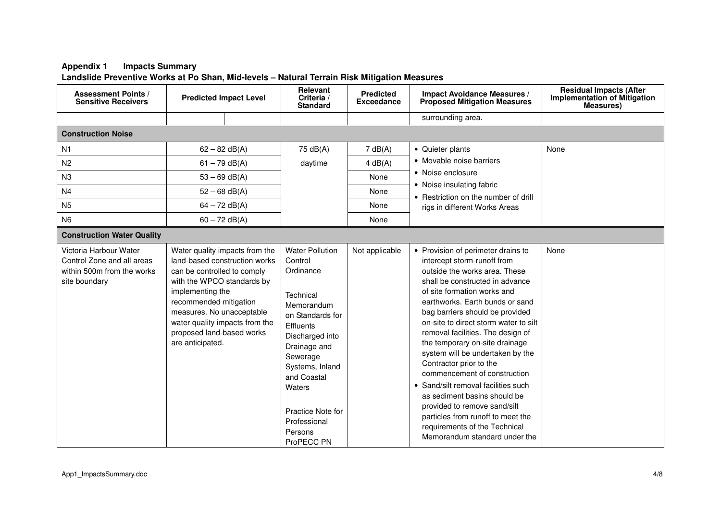| <b>Assessment Points /</b><br><b>Sensitive Receivers</b>                                            | <b>Predicted Impact Level</b>                                                                                                                                                                                           |                                                                 | Relevant<br>Criteria /<br><b>Standard</b>                                                                                                                                                                                                                           | <b>Predicted</b><br><b>Exceedance</b> | <b>Impact Avoidance Measures /</b><br><b>Proposed Mitigation Measures</b>                                                                                                                                                                                                                                                                                                                                                                                                                                                                                                                                                                                               | <b>Residual Impacts (After</b><br><b>Implementation of Mitigation</b><br><b>Measures)</b> |
|-----------------------------------------------------------------------------------------------------|-------------------------------------------------------------------------------------------------------------------------------------------------------------------------------------------------------------------------|-----------------------------------------------------------------|---------------------------------------------------------------------------------------------------------------------------------------------------------------------------------------------------------------------------------------------------------------------|---------------------------------------|-------------------------------------------------------------------------------------------------------------------------------------------------------------------------------------------------------------------------------------------------------------------------------------------------------------------------------------------------------------------------------------------------------------------------------------------------------------------------------------------------------------------------------------------------------------------------------------------------------------------------------------------------------------------------|-------------------------------------------------------------------------------------------|
|                                                                                                     |                                                                                                                                                                                                                         |                                                                 |                                                                                                                                                                                                                                                                     |                                       | surrounding area.                                                                                                                                                                                                                                                                                                                                                                                                                                                                                                                                                                                                                                                       |                                                                                           |
| <b>Construction Noise</b>                                                                           |                                                                                                                                                                                                                         |                                                                 |                                                                                                                                                                                                                                                                     |                                       |                                                                                                                                                                                                                                                                                                                                                                                                                                                                                                                                                                                                                                                                         |                                                                                           |
| N1                                                                                                  |                                                                                                                                                                                                                         | $62 - 82$ dB(A)                                                 | 75 dB(A)                                                                                                                                                                                                                                                            | 7 dB(A)                               | • Quieter plants                                                                                                                                                                                                                                                                                                                                                                                                                                                                                                                                                                                                                                                        | None                                                                                      |
| N <sub>2</sub>                                                                                      |                                                                                                                                                                                                                         | $61 - 79$ dB(A)                                                 | daytime                                                                                                                                                                                                                                                             | 4 dB(A)                               | • Movable noise barriers                                                                                                                                                                                                                                                                                                                                                                                                                                                                                                                                                                                                                                                |                                                                                           |
| N <sub>3</sub>                                                                                      |                                                                                                                                                                                                                         | $53 - 69$ dB(A)                                                 |                                                                                                                                                                                                                                                                     | None                                  | • Noise enclosure                                                                                                                                                                                                                                                                                                                                                                                                                                                                                                                                                                                                                                                       |                                                                                           |
| N <sub>4</sub>                                                                                      |                                                                                                                                                                                                                         | $52 - 68$ dB(A)                                                 |                                                                                                                                                                                                                                                                     | None                                  | • Noise insulating fabric<br>• Restriction on the number of drill                                                                                                                                                                                                                                                                                                                                                                                                                                                                                                                                                                                                       |                                                                                           |
| N <sub>5</sub>                                                                                      |                                                                                                                                                                                                                         | $64 - 72$ dB(A)                                                 |                                                                                                                                                                                                                                                                     | None                                  | rigs in different Works Areas                                                                                                                                                                                                                                                                                                                                                                                                                                                                                                                                                                                                                                           |                                                                                           |
| N <sub>6</sub>                                                                                      |                                                                                                                                                                                                                         | $60 - 72$ dB(A)                                                 |                                                                                                                                                                                                                                                                     | None                                  |                                                                                                                                                                                                                                                                                                                                                                                                                                                                                                                                                                                                                                                                         |                                                                                           |
| <b>Construction Water Quality</b>                                                                   |                                                                                                                                                                                                                         |                                                                 |                                                                                                                                                                                                                                                                     |                                       |                                                                                                                                                                                                                                                                                                                                                                                                                                                                                                                                                                                                                                                                         |                                                                                           |
| Victoria Harbour Water<br>Control Zone and all areas<br>within 500m from the works<br>site boundary | can be controlled to comply<br>with the WPCO standards by<br>implementing the<br>recommended mitigation<br>measures. No unacceptable<br>water quality impacts from the<br>proposed land-based works<br>are anticipated. | Water quality impacts from the<br>land-based construction works | <b>Water Pollution</b><br>Control<br>Ordinance<br>Technical<br>Memorandum<br>on Standards for<br>Effluents<br>Discharged into<br>Drainage and<br>Sewerage<br>Systems, Inland<br>and Coastal<br>Waters<br>Practice Note for<br>Professional<br>Persons<br>ProPECC PN | Not applicable                        | • Provision of perimeter drains to<br>intercept storm-runoff from<br>outside the works area. These<br>shall be constructed in advance<br>of site formation works and<br>earthworks. Earth bunds or sand<br>bag barriers should be provided<br>on-site to direct storm water to silt<br>removal facilities. The design of<br>the temporary on-site drainage<br>system will be undertaken by the<br>Contractor prior to the<br>commencement of construction<br>• Sand/silt removal facilities such<br>as sediment basins should be<br>provided to remove sand/silt<br>particles from runoff to meet the<br>requirements of the Technical<br>Memorandum standard under the | None                                                                                      |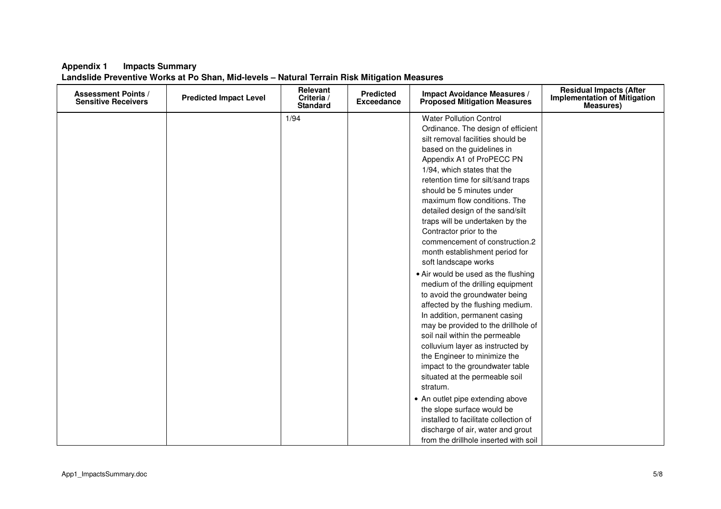| <b>Assessment Points /</b><br><b>Sensitive Receivers</b> | <b>Predicted Impact Level</b> | Relevant<br>Criteria /<br><b>Standard</b> | <b>Predicted</b><br><b>Exceedance</b> | <b>Impact Avoidance Measures /</b><br><b>Proposed Mitigation Measures</b>                                                                                                                                                                                                                                                                                                                                                                                                                                                                                                                                                                             | <b>Residual Impacts (After</b><br><b>Implementation of Mitigation</b><br><b>Measures</b> ) |
|----------------------------------------------------------|-------------------------------|-------------------------------------------|---------------------------------------|-------------------------------------------------------------------------------------------------------------------------------------------------------------------------------------------------------------------------------------------------------------------------------------------------------------------------------------------------------------------------------------------------------------------------------------------------------------------------------------------------------------------------------------------------------------------------------------------------------------------------------------------------------|--------------------------------------------------------------------------------------------|
|                                                          |                               | 1/94                                      |                                       | <b>Water Pollution Control</b><br>Ordinance. The design of efficient<br>silt removal facilities should be<br>based on the guidelines in<br>Appendix A1 of ProPECC PN<br>1/94, which states that the<br>retention time for silt/sand traps<br>should be 5 minutes under<br>maximum flow conditions. The<br>detailed design of the sand/silt<br>traps will be undertaken by the<br>Contractor prior to the<br>commencement of construction.2<br>month establishment period for<br>soft landscape works<br>• Air would be used as the flushing<br>medium of the drilling equipment<br>to avoid the groundwater being<br>affected by the flushing medium. |                                                                                            |
|                                                          |                               |                                           |                                       | In addition, permanent casing<br>may be provided to the drillhole of<br>soil nail within the permeable<br>colluvium layer as instructed by<br>the Engineer to minimize the<br>impact to the groundwater table<br>situated at the permeable soil<br>stratum.<br>• An outlet pipe extending above<br>the slope surface would be<br>installed to facilitate collection of<br>discharge of air, water and grout<br>from the drillhole inserted with soil                                                                                                                                                                                                  |                                                                                            |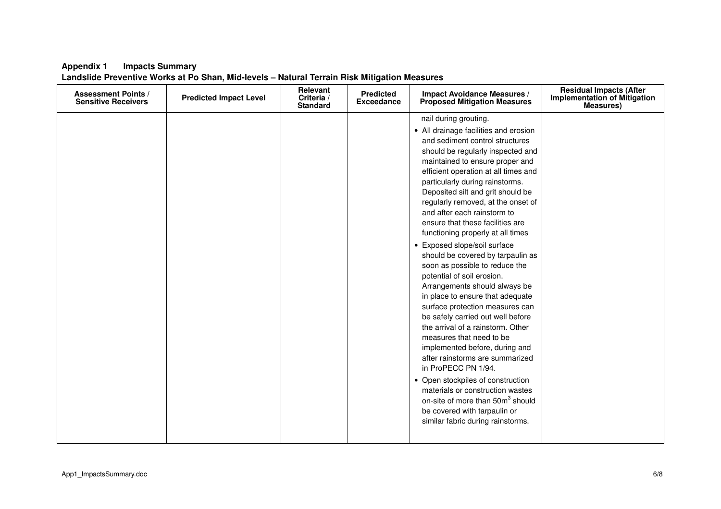| nail during grouting.<br>• All drainage facilities and erosion<br>and sediment control structures<br>should be regularly inspected and<br>maintained to ensure proper and<br>efficient operation at all times and<br>particularly during rainstorms.<br>Deposited silt and grit should be<br>regularly removed, at the onset of<br>and after each rainstorm to<br>ensure that these facilities are<br>functioning properly at all times<br>• Exposed slope/soil surface<br>should be covered by tarpaulin as<br>soon as possible to reduce the<br>potential of soil erosion.<br>Arrangements should always be<br>in place to ensure that adequate<br>surface protection measures can<br>be safely carried out well before<br>the arrival of a rainstorm. Other<br>measures that need to be<br>implemented before, during and<br>after rainstorms are summarized<br>in ProPECC PN 1/94.<br>• Open stockpiles of construction<br>materials or construction wastes<br>on-site of more than 50m <sup>3</sup> should<br>be covered with tarpaulin or<br>similar fabric during rainstorms. | <b>Assessment Points /</b><br><b>Sensitive Receivers</b> | <b>Predicted Impact Level</b> | Relevant<br>Criteria /<br><b>Standard</b> | <b>Predicted</b><br><b>Exceedance</b> | <b>Impact Avoidance Measures /</b><br><b>Proposed Mitigation Measures</b> | <b>Residual Impacts (After</b><br><b>Implementation of Mitigation</b><br><b>Measures)</b> |
|--------------------------------------------------------------------------------------------------------------------------------------------------------------------------------------------------------------------------------------------------------------------------------------------------------------------------------------------------------------------------------------------------------------------------------------------------------------------------------------------------------------------------------------------------------------------------------------------------------------------------------------------------------------------------------------------------------------------------------------------------------------------------------------------------------------------------------------------------------------------------------------------------------------------------------------------------------------------------------------------------------------------------------------------------------------------------------------|----------------------------------------------------------|-------------------------------|-------------------------------------------|---------------------------------------|---------------------------------------------------------------------------|-------------------------------------------------------------------------------------------|
|                                                                                                                                                                                                                                                                                                                                                                                                                                                                                                                                                                                                                                                                                                                                                                                                                                                                                                                                                                                                                                                                                      |                                                          |                               |                                           |                                       |                                                                           |                                                                                           |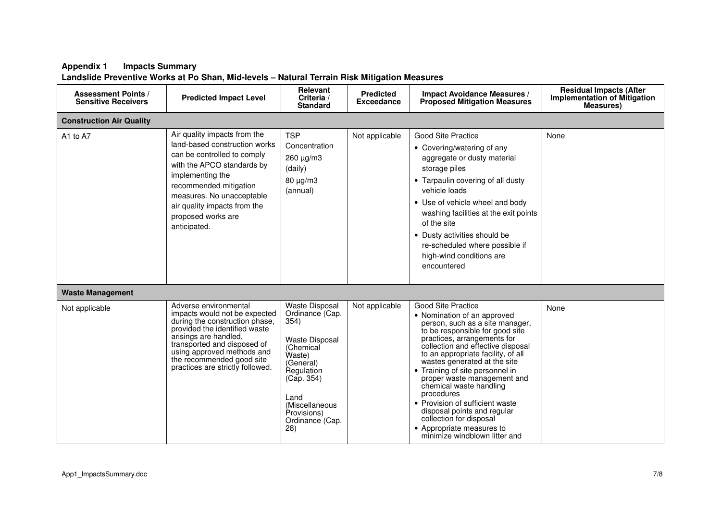| <b>Assessment Points /</b><br><b>Sensitive Receivers</b> | <b>Predicted Impact Level</b>                                                                                                                                                                                                                                                    | Relevant<br>Criteria /<br><b>Standard</b>                                                                                                                                                                    | <b>Predicted</b><br><b>Exceedance</b> | <b>Impact Avoidance Measures /</b><br><b>Proposed Mitigation Measures</b>                                                                                                                                                                                                                                                                                                                                                                                                                                                                      | <b>Residual Impacts (After</b><br><b>Implementation of Mitigation</b><br><b>Measures</b> ) |
|----------------------------------------------------------|----------------------------------------------------------------------------------------------------------------------------------------------------------------------------------------------------------------------------------------------------------------------------------|--------------------------------------------------------------------------------------------------------------------------------------------------------------------------------------------------------------|---------------------------------------|------------------------------------------------------------------------------------------------------------------------------------------------------------------------------------------------------------------------------------------------------------------------------------------------------------------------------------------------------------------------------------------------------------------------------------------------------------------------------------------------------------------------------------------------|--------------------------------------------------------------------------------------------|
| <b>Construction Air Quality</b>                          |                                                                                                                                                                                                                                                                                  |                                                                                                                                                                                                              |                                       |                                                                                                                                                                                                                                                                                                                                                                                                                                                                                                                                                |                                                                                            |
| A1 to A7                                                 | Air quality impacts from the<br>land-based construction works<br>can be controlled to comply<br>with the APCO standards by<br>implementing the<br>recommended mitigation<br>measures. No unacceptable<br>air quality impacts from the<br>proposed works are<br>anticipated.      | <b>TSP</b><br>Concentration<br>260 µg/m3<br>(daily)<br>80 µg/m3<br>(annual)                                                                                                                                  | Not applicable                        | <b>Good Site Practice</b><br>• Covering/watering of any<br>aggregate or dusty material<br>storage piles<br>• Tarpaulin covering of all dusty<br>vehicle loads<br>• Use of vehicle wheel and body<br>washing facilities at the exit points<br>of the site<br>• Dusty activities should be<br>re-scheduled where possible if<br>high-wind conditions are<br>encountered                                                                                                                                                                          | None                                                                                       |
| <b>Waste Management</b>                                  |                                                                                                                                                                                                                                                                                  |                                                                                                                                                                                                              |                                       |                                                                                                                                                                                                                                                                                                                                                                                                                                                                                                                                                |                                                                                            |
| Not applicable                                           | Adverse environmental<br>impacts would not be expected<br>during the construction phase.<br>provided the identified waste<br>arisings are handled,<br>transported and disposed of<br>using approved methods and<br>the recommended good site<br>practices are strictly followed. | <b>Waste Disposal</b><br>Ordinance (Cap.<br>354)<br><b>Waste Disposal</b><br>(Chemical<br>Waste)<br>(General)<br>Regulation<br>(Cap. 354)<br>Land<br>(Miscellaneous<br>Provisions)<br>Ordinance (Cap.<br>28) | Not applicable                        | <b>Good Site Practice</b><br>• Nomination of an approved<br>person, such as a site manager,<br>to be responsible for good site<br>practices, arrangements for<br>collection and effective disposal<br>to an appropriate facility, of all<br>wastes generated at the site<br>• Training of site personnel in<br>proper waste management and<br>chemical waste handling<br>procedures<br>• Provision of sufficient waste<br>disposal points and regular<br>collection for disposal<br>• Appropriate measures to<br>minimize windblown litter and | None                                                                                       |